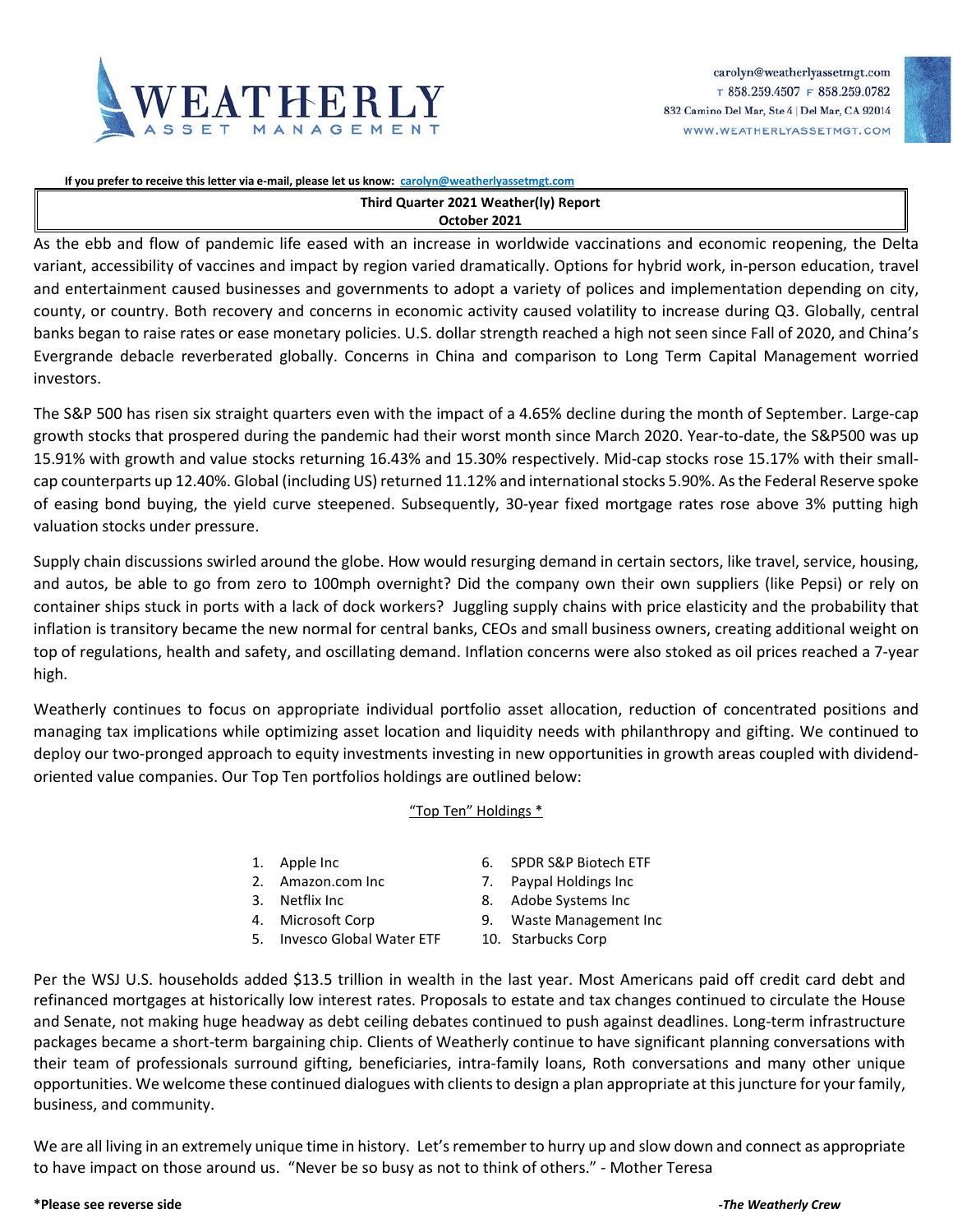



**If you prefer to receive this letter via e-mail, please let us know: [carolyn@weatherlyassetmgt.com](mailto:carolyn@weatherlyassetmgt.com)**

## **Third Quarter 2021 Weather(ly) Report October 2021**

As the ebb and flow of pandemic life eased with an increase in worldwide vaccinations and economic reopening, the Delta variant, accessibility of vaccines and impact by region varied dramatically. Options for hybrid work, in-person education, travel and entertainment caused businesses and governments to adopt a variety of polices and implementation depending on city, county, or country. Both recovery and concerns in economic activity caused volatility to increase during Q3. Globally, central banks began to raise rates or ease monetary policies. U.S. dollar strength reached a high not seen since Fall of 2020, and China's Evergrande debacle reverberated globally. Concerns in China and comparison to Long Term Capital Management worried investors.

The S&P 500 has risen six straight quarters even with the impact of a 4.65% decline during the month of September. Large-cap growth stocks that prospered during the pandemic had their worst month since March 2020. Year-to-date, the S&P500 was up 15.91% with growth and value stocks returning 16.43% and 15.30% respectively. Mid-cap stocks rose 15.17% with their smallcap counterparts up 12.40%. Global (including US) returned 11.12% and international stocks 5.90%. As the Federal Reserve spoke of easing bond buying, the yield curve steepened. Subsequently, 30-year fixed mortgage rates rose above 3% putting high valuation stocks under pressure.

Supply chain discussions swirled around the globe. How would resurging demand in certain sectors, like travel, service, housing, and autos, be able to go from zero to 100mph overnight? Did the company own their own suppliers (like Pepsi) or rely on container ships stuck in ports with a lack of dock workers? Juggling supply chains with price elasticity and the probability that inflation is transitory became the new normal for central banks, CEOs and small business owners, creating additional weight on top of regulations, health and safety, and oscillating demand. Inflation concerns were also stoked as oil prices reached a 7-year high.

Weatherly continues to focus on appropriate individual portfolio asset allocation, reduction of concentrated positions and managing tax implications while optimizing asset location and liquidity needs with philanthropy and gifting. We continued to deploy our two-pronged approach to equity investments investing in new opportunities in growth areas coupled with dividendoriented value companies. Our Top Ten portfolios holdings are outlined below:

## "Top Ten" Holdings \*

- 
- 
- 
- 
- 5. Invesco Global Water ETF 10. Starbucks Corp
- 1. Apple Inc 6. SPDR S&P Biotech ETF
- 2. Amazon.com Inc 7. Paypal Holdings Inc
- 3. Netflix Inc 8. Adobe Systems Inc
- 4. Microsoft Corp 9. Waste Management Inc
	-

Per the WSJ U.S. households added \$13.5 trillion in wealth in the last year. Most Americans paid off credit card debt and refinanced mortgages at historically low interest rates. Proposals to estate and tax changes continued to circulate the House and Senate, not making huge headway as debt ceiling debates continued to push against deadlines. Long-term infrastructure packages became a short-term bargaining chip. Clients of Weatherly continue to have significant planning conversations with their team of professionals surround gifting, beneficiaries, intra-family loans, Roth conversations and many other unique opportunities. We welcome these continued dialogues with clients to design a plan appropriate at this juncture for your family, business, and community.

We are all living in an extremely unique time in history. Let's remember to hurry up and slow down and connect as appropriate to have impact on those around us. "Never be so busy as not to think of others." - Mother Teresa